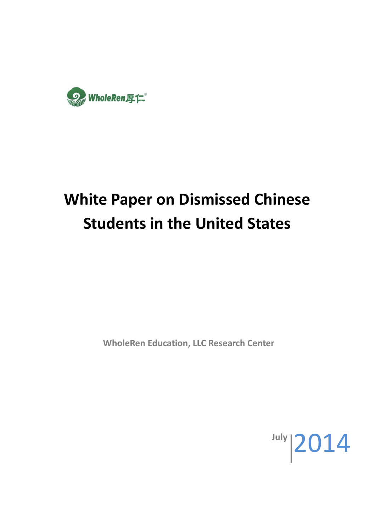

# **White Paper on Dismissed Chinese Students in the United States**

**WholeRen Education, LLC Research Center**

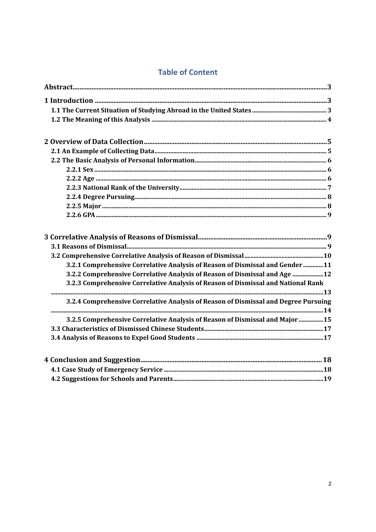# **Table of Content**

| 3.2.1 Comprehensive Correlative Analysis of Reason of Dismissal and Gender  11      |  |
|-------------------------------------------------------------------------------------|--|
| 3.2.2 Comprehensive Correlative Analysis of Reason of Dismissal and Age  12         |  |
| 3.2.3 Comprehensive Correlative Analysis of Reason of Dismissal and National Rank   |  |
|                                                                                     |  |
| 3.2.4 Comprehensive Correlative Analysis of Reason of Dismissal and Degree Pursuing |  |
| 3.2.5 Comprehensive Correlative Analysis of Reason of Dismissal and Major 15        |  |
|                                                                                     |  |
|                                                                                     |  |
|                                                                                     |  |
| 1 Pace Study of Emergency Convice 40                                                |  |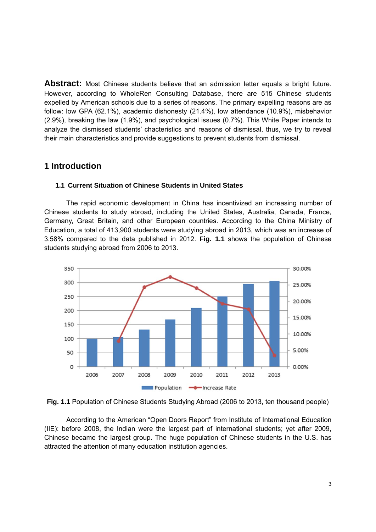**Abstract:** Most Chinese students believe that an admission letter equals a bright future. However, according to WholeRen Consulting Database, there are 515 Chinese students expelled by American schools due to a series of reasons. The primary expelling reasons are as follow: low GPA (62.1%), academic dishonesty (21.4%), low attendance (10.9%), misbehavior (2.9%), breaking the law (1.9%), and psychological issues (0.7%). This White Paper intends to analyze the dismissed students' chacteristics and reasons of dismissal, thus, we try to reveal their main characteristics and provide suggestions to prevent students from dismissal.

# **1 Introduction**

#### **1.1 Current Situation of Chinese Students in United States**

The rapid economic development in China has incentivized an increasing number of Chinese students to study abroad, including the United States, Australia, Canada, France, Germany, Great Britain, and other European countries. According to the China Ministry of Education, a total of 413,900 students were studying abroad in 2013, which was an increase of 3.58% compared to the data published in 2012. **Fig. 1.1** shows the population of Chinese students studying abroad from 2006 to 2013.





According to the American "Open Doors Report" from Institute of International Education (IIE): before 2008, the Indian were the largest part of international students; yet after 2009, Chinese became the largest group. The huge population of Chinese students in the U.S. has attracted the attention of many education institution agencies.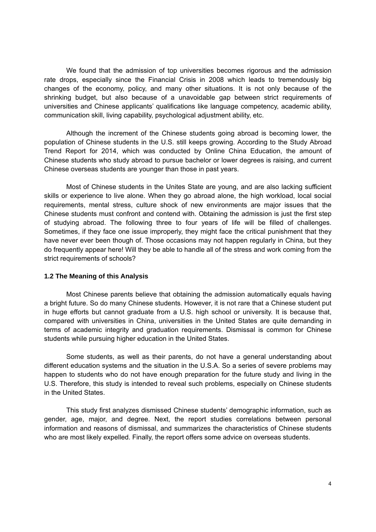We found that the admission of top universities becomes rigorous and the admission rate drops, especially since the Financial Crisis in 2008 which leads to tremendously big changes of the economy, policy, and many other situations. It is not only because of the shrinking budget, but also because of a unavoidable gap between strict requirements of universities and Chinese applicants' qualifications like language competency, academic ability, communication skill, living capability, psychological adjustment ability, etc.

Although the increment of the Chinese students going abroad is becoming lower, the population of Chinese students in the U.S. still keeps growing. According to the Study Abroad Trend Report for 2014, which was conducted by Online China Education, the amount of Chinese students who study abroad to pursue bachelor or lower degrees is raising, and current Chinese overseas students are younger than those in past years.

Most of Chinese students in the Unites State are young, and are also lacking sufficient skills or experience to live alone. When they go abroad alone, the high workload, local social requirements, mental stress, culture shock of new environments are major issues that the Chinese students must confront and contend with. Obtaining the admission is just the first step of studying abroad. The following three to four years of life will be filled of challenges. Sometimes, if they face one issue improperly, they might face the critical punishment that they have never ever been though of. Those occasions may not happen regularly in China, but they do frequently appear here! Will they be able to handle all of the stress and work coming from the strict requirements of schools?

#### **1.2 The Meaning of this Analysis**

Most Chinese parents believe that obtaining the admission automatically equals having a bright future. So do many Chinese students. However, it is not rare that a Chinese student put in huge efforts but cannot graduate from a U.S. high school or university. It is because that, compared with universities in China, universities in the United States are quite demanding in terms of academic integrity and graduation requirements. Dismissal is common for Chinese students while pursuing higher education in the United States.

Some students, as well as their parents, do not have a general understanding about different education systems and the situation in the U.S.A. So a series of severe problems may happen to students who do not have enough preparation for the future study and living in the U.S. Therefore, this study is intended to reveal such problems, especially on Chinese students in the United States.

This study first analyzes dismissed Chinese students' demographic information, such as gender, age, major, and degree. Next, the report studies correlations between personal information and reasons of dismissal, and summarizes the characteristics of Chinese students who are most likely expelled. Finally, the report offers some advice on overseas students.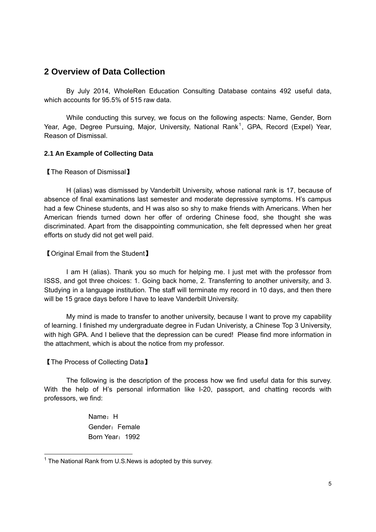# **2 Overview of Data Collection**

By July 2014, WholeRen Education Consulting Database contains 492 useful data, which accounts for 95.5% of 515 raw data.

While conducting this survey, we focus on the following aspects: Name, Gender, Born Year, Age, Degree Pursuing, Major, University, National Rank<sup>1</sup>, GPA, Record (Expel) Year, Reason of Dismissal.

# **2.1 An Example of Collecting Data**

【The Reason of Dismissal】

H (alias) was dismissed by Vanderbilt University, whose national rank is 17, because of absence of final examinations last semester and moderate depressive symptoms. H's campus had a few Chinese students, and H was also so shy to make friends with Americans. When her American friends turned down her offer of ordering Chinese food, she thought she was discriminated. Apart from the disappointing communication, she felt depressed when her great efforts on study did not get well paid.

【Original Email from the Student】

 I am H (alias). Thank you so much for helping me. I just met with the professor from ISSS, and got three choices: 1. Going back home, 2. Transferring to another university, and 3. Studying in a language institution. The staff will terminate my record in 10 days, and then there will be 15 grace days before I have to leave Vanderbilt University.

 My mind is made to transfer to another university, because I want to prove my capability of learning. I finished my undergraduate degree in Fudan Univeristy, a Chinese Top 3 University, with high GPA. And I believe that the depression can be cured! Please find more information in the attachment, which is about the notice from my professor.

# 【The Process of Collecting Data】

1

 The following is the description of the process how we find useful data for this survey. With the help of H's personal information like I-20, passport, and chatting records with professors, we find:

> Name: H Gender: Female Born Year: 1992

 $1$  The National Rank from U.S. News is adopted by this survey.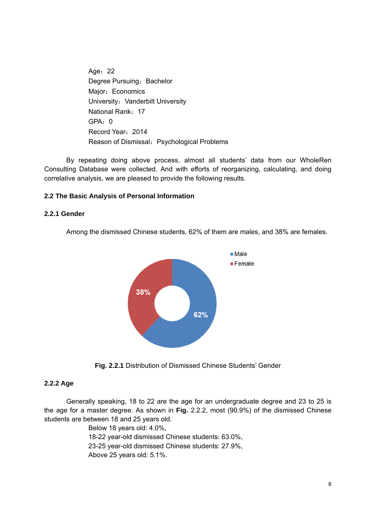Age: 22 Degree Pursuing: Bachelor Major: Economics University: Vanderbilt University National Rank:17 GPA: 0 Record Year:2014 Reason of Dismissal: Psychological Problems

 By repeating doing above process, almost all students' data from our WholeRen Consulting Database were collected. And with efforts of reorganizing, calculating, and doing correlative analysis, we are pleased to provide the following results.

# **2.2 The Basic Analysis of Personal Information**

#### **2.2.1 Gender**

Among the dismissed Chinese students, 62% of them are males, and 38% are females.



**Fig. 2.2.1** Distribution of Dismissed Chinese Students' Gender

#### **2.2.2 Age**

Generally speaking, 18 to 22 are the age for an undergraduate degree and 23 to 25 is the age for a master degree. As shown in **Fig.** 2.2.2, most (90.9%) of the dismissed Chinese students are between 18 and 25 years old.

> Below 18 years old: 4.0%, 18-22 year-old dismissed Chinese students: 63.0%, 23-25 year-old dismissed Chinese students: 27.9%, Above 25 years old: 5.1%.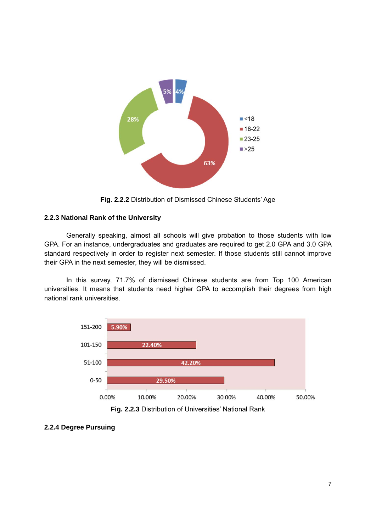

**Fig. 2.2.2** Distribution of Dismissed Chinese Students' Age

# **2.2.3 National Rank of the University**

 Generally speaking, almost all schools will give probation to those students with low GPA. For an instance, undergraduates and graduates are required to get 2.0 GPA and 3.0 GPA standard respectively in order to register next semester. If those students still cannot improve their GPA in the next semester, they will be dismissed.

In this survey, 71.7% of dismissed Chinese students are from Top 100 American universities. It means that students need higher GPA to accomplish their degrees from high national rank universities.



**Fig. 2.2.3** Distribution of Universities' National Rank

**<sup>2.2.4</sup> Degree Pursuing**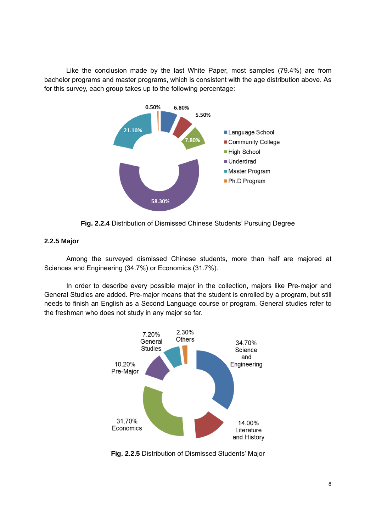Like the conclusion made by the last White Paper, most samples (79.4%) are from bachelor programs and master programs, which is consistent with the age distribution above. As for this survey, each group takes up to the following percentage:



**Fig. 2.2.4** Distribution of Dismissed Chinese Students' Pursuing Degree

# **2.2.5 Major**

 Among the surveyed dismissed Chinese students, more than half are majored at Sciences and Engineering (34.7%) or Economics (31.7%).

In order to describe every possible major in the collection, majors like Pre-major and General Studies are added. Pre-major means that the student is enrolled by a program, but still needs to finish an English as a Second Language course or program. General studies refer to the freshman who does not study in any major so far.



**Fig. 2.2.5** Distribution of Dismissed Students' Major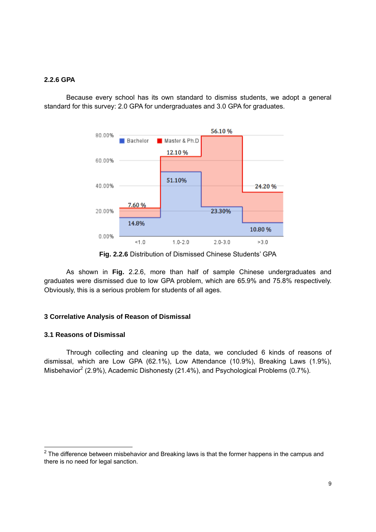#### **2.2.6 GPA**

 Because every school has its own standard to dismiss students, we adopt a general standard for this survey: 2.0 GPA for undergraduates and 3.0 GPA for graduates.



**Fig. 2.2.6** Distribution of Dismissed Chinese Students' GPA

 As shown in **Fig.** 2.2.6, more than half of sample Chinese undergraduates and graduates were dismissed due to low GPA problem, which are 65.9% and 75.8% respectively. Obviously, this is a serious problem for students of all ages.

#### **3 Correlative Analysis of Reason of Dismissal**

#### **3.1 Reasons of Dismissal**

 Through collecting and cleaning up the data, we concluded 6 kinds of reasons of dismissal, which are Low GPA (62.1%), Low Attendance (10.9%), Breaking Laws (1.9%), Misbehavior<sup>2</sup> (2.9%), Academic Dishonesty (21.4%), and Psychological Problems (0.7%).

<sup>————————————————————&</sup>lt;br><sup>2</sup> The difference between misbehavior and Breaking laws is that the former happens in the campus and there is no need for legal sanction.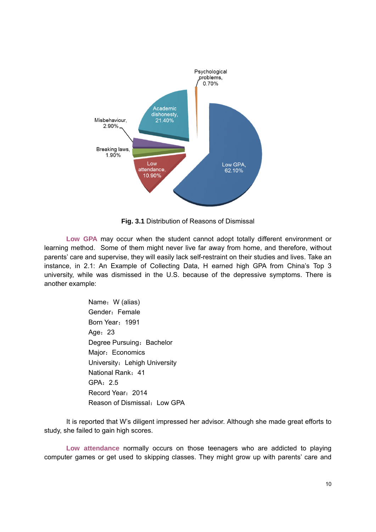

**Fig. 3.1** Distribution of Reasons of Dismissal

 **Low GPA** may occur when the student cannot adopt totally different environment or learning method. Some of them might never live far away from home, and therefore, without parents' care and supervise, they will easily lack self-restraint on their studies and lives. Take an instance, in 2.1: An Example of Collecting Data, H earned high GPA from China's Top 3 university, while was dismissed in the U.S. because of the depressive symptoms. There is another example:

> Name: W (alias) Gender: Female Born Year: 1991 Age: 23 Degree Pursuing: Bachelor Major: Economics University: Lehigh University National Rank: 41 GPA:2.5 Record Year:2014 Reason of Dismissal: Low GPA

It is reported that W's diligent impressed her advisor. Although she made great efforts to study, she failed to gain high scores.

 **Low attendance** normally occurs on those teenagers who are addicted to playing computer games or get used to skipping classes. They might grow up with parents' care and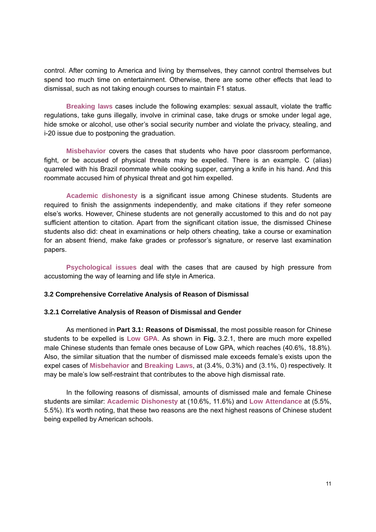control. After coming to America and living by themselves, they cannot control themselves but spend too much time on entertainment. Otherwise, there are some other effects that lead to dismissal, such as not taking enough courses to maintain F1 status.

**Breaking laws** cases include the following examples: sexual assault, violate the traffic regulations, take guns illegally, involve in criminal case, take drugs or smoke under legal age, hide smoke or alcohol, use other's social security number and violate the privacy, stealing, and i-20 issue due to postponing the graduation.

**Misbehavior** covers the cases that students who have poor classroom performance, fight, or be accused of physical threats may be expelled. There is an example. C (alias) quarreled with his Brazil roommate while cooking supper, carrying a knife in his hand. And this roommate accused him of physical threat and got him expelled.

**Academic dishonesty** is a significant issue among Chinese students. Students are required to finish the assignments independently, and make citations if they refer someone else's works. However, Chinese students are not generally accustomed to this and do not pay sufficient attention to citation. Apart from the significant citation issue, the dismissed Chinese students also did: cheat in examinations or help others cheating, take a course or examination for an absent friend, make fake grades or professor's signature, or reserve last examination papers.

**Psychological issues** deal with the cases that are caused by high pressure from accustoming the way of learning and life style in America.

#### **3.2 Comprehensive Correlative Analysis of Reason of Dismissal**

#### **3.2.1 Correlative Analysis of Reason of Dismissal and Gender**

 As mentioned in **Part 3.1: Reasons of Dismissal**, the most possible reason for Chinese students to be expelled is **Low GPA**. As shown in **Fig.** 3.2.1, there are much more expelled male Chinese students than female ones because of Low GPA, which reaches (40.6%, 18.8%). Also, the similar situation that the number of dismissed male exceeds female's exists upon the expel cases of **Misbehavior** and **Breaking Laws**, at (3.4%, 0.3%) and (3.1%, 0) respectively. It may be male's low self-restraint that contributes to the above high dismissal rate.

 In the following reasons of dismissal, amounts of dismissed male and female Chinese students are similar: **Academic Dishonesty** at (10.6%, 11.6%) and **Low Attendance** at (5.5%, 5.5%). It's worth noting, that these two reasons are the next highest reasons of Chinese student being expelled by American schools.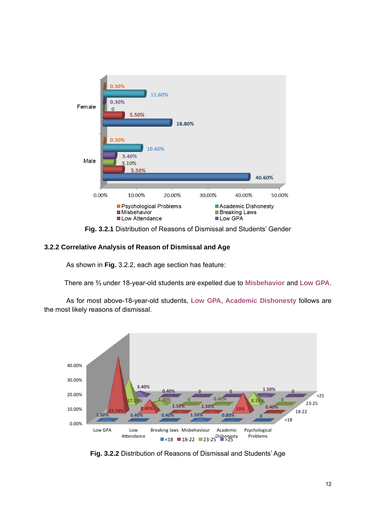

**Fig. 3.2.1** Distribution of Reasons of Dismissal and Students' Gender

# **3.2.2 Correlative Analysis of Reason of Dismissal and Age**

As shown in **Fig.** 3.2.2, each age section has feature:

There are ⅔ under 18-year-old students are expelled due to **Misbehavior** and **Low GPA**.

As for most above-18-year-old students, **Low GPA**, **Academic Dishonesty** follows are the most likely reasons of dismissal.



**Fig. 3.2.2** Distribution of Reasons of Dismissal and Students' Age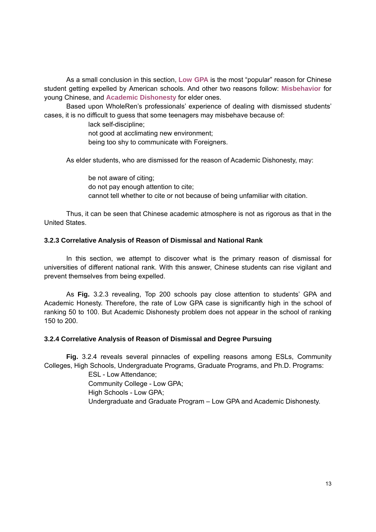As a small conclusion in this section, **Low GPA** is the most "popular" reason for Chinese student getting expelled by American schools. And other two reasons follow: **Misbehavior** for young Chinese, and **Academic Dishonesty** for elder ones.

 Based upon WholeRen's professionals' experience of dealing with dismissed students' cases, it is no difficult to guess that some teenagers may misbehave because of:

lack self-discipline;

not good at acclimating new environment;

being too shy to communicate with Foreigners.

As elder students, who are dismissed for the reason of Academic Dishonesty, may:

 be not aware of citing; do not pay enough attention to cite; cannot tell whether to cite or not because of being unfamiliar with citation.

Thus, it can be seen that Chinese academic atmosphere is not as rigorous as that in the United States.

# **3.2.3 Correlative Analysis of Reason of Dismissal and National Rank**

 In this section, we attempt to discover what is the primary reason of dismissal for universities of different national rank. With this answer, Chinese students can rise vigilant and prevent themselves from being expelled.

 As **Fig.** 3.2.3 revealing, Top 200 schools pay close attention to students' GPA and Academic Honesty. Therefore, the rate of Low GPA case is significantly high in the school of ranking 50 to 100. But Academic Dishonesty problem does not appear in the school of ranking 150 to 200.

#### **3.2.4 Correlative Analysis of Reason of Dismissal and Degree Pursuing**

**Fig.** 3.2.4 reveals several pinnacles of expelling reasons among ESLs, Community Colleges, High Schools, Undergraduate Programs, Graduate Programs, and Ph.D. Programs:

> ESL - Low Attendance; Community College - Low GPA; High Schools - Low GPA; Undergraduate and Graduate Program – Low GPA and Academic Dishonesty.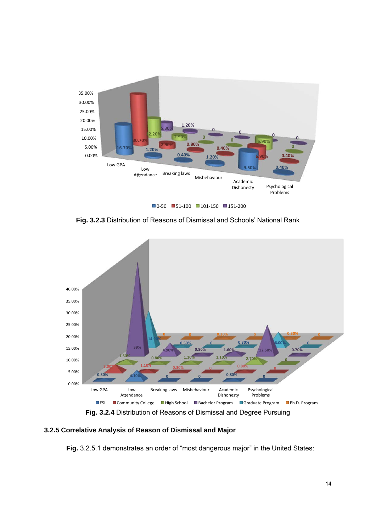

**Fig. 3.2.3** Distribution of Reasons of Dismissal and Schools' National Rank



**3.2.5 Correlative Analysis of Reason of Dismissal and Major**

**Fig.** 3.2.5.1 demonstrates an order of "most dangerous major" in the United States: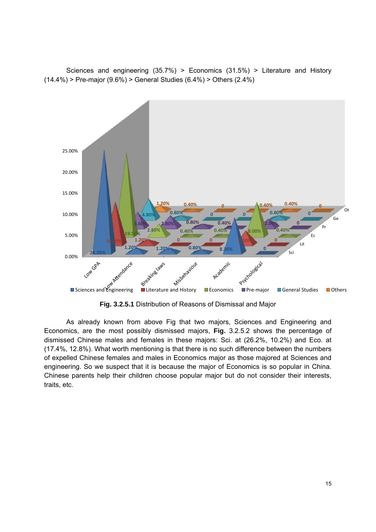Sciences and engineering (35.7%) > Economics (31.5%) > Literature and History  $(14.4\%)$  > Pre-major  $(9.6\%)$  > General Studies  $(6.4\%)$  > Others  $(2.4\%)$ 



**Fig. 3.2.5.1** Distribution of Reasons of Dismissal and Major

As already known from above Fig that two majors, Sciences and Engineering and Economics, are the most possibly dismissed majors, **Fig.** 3.2.5.2 shows the percentage of dismissed Chinese males and females in these majors: Sci. at (26.2%, 10.2%) and Eco. at (17.4%, 12.8%). What worth mentioning is that there is no such difference between the numbers of expelled Chinese females and males in Economics major as those majored at Sciences and engineering. So we suspect that it is because the major of Economics is so popular in China. Chinese parents help their children choose popular major but do not consider their interests, traits, etc.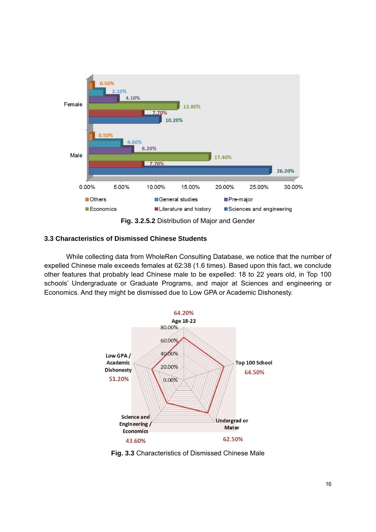

#### **3.3 Characteristics of Dismissed Chinese Students**

 While collecting data from WholeRen Consulting Database, we notice that the number of expelled Chinese male exceeds females at 62:38 (1.6 times). Based upon this fact, we conclude other features that probably lead Chinese male to be expelled: 18 to 22 years old, in Top 100 schools' Undergraduate or Graduate Programs, and major at Sciences and engineering or Economics. And they might be dismissed due to Low GPA or Academic Dishonesty.



**Fig. 3.3** Characteristics of Dismissed Chinese Male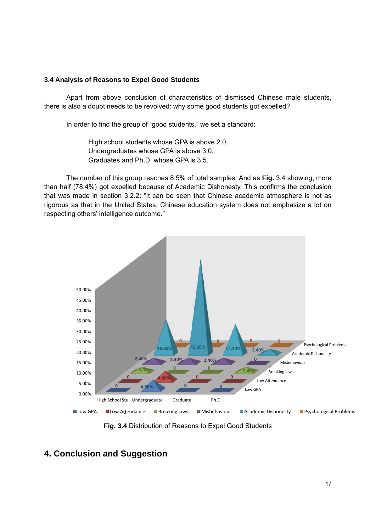#### **3.4 Analysis of Reasons to Expel Good Students**

Apart from above conclusion of characteristics of dismissed Chinese male students, there is also a doubt needs to be revolved: why some good students got expelled?

In order to find the group of "good students," we set a standard:

 High school students whose GPA is above 2.0, Undergraduates whose GPA is above 3.0, Graduates and Ph.D. whose GPA is 3.5.

The number of this group reaches 8.5% of total samples. And as **Fig.** 3.4 showing, more than half (78.4%) got expelled because of Academic Dishonesty. This confirms the conclusion that was made in section 3.2.2: "It can be seen that Chinese academic atmosphere is not as rigorous as that in the United States. Chinese education system does not emphasize a lot on respecting others' intelligence outcome."



**Fig. 3.4** Distribution of Reasons to Expel Good Students

# **4. Conclusion and Suggestion**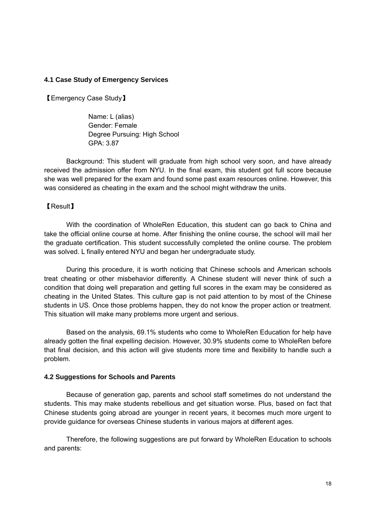# **4.1 Case Study of Emergency Services**

【Emergency Case Study】

Name: L (alias) Gender: Female Degree Pursuing: High School GPA: 3.87

Background: This student will graduate from high school very soon, and have already received the admission offer from NYU. In the final exam, this student got full score because she was well prepared for the exam and found some past exam resources online. However, this was considered as cheating in the exam and the school might withdraw the units.

# 【Result】

With the coordination of WholeRen Education, this student can go back to China and take the official online course at home. After finishing the online course, the school will mail her the graduate certification. This student successfully completed the online course. The problem was solved. L finally entered NYU and began her undergraduate study.

During this procedure, it is worth noticing that Chinese schools and American schools treat cheating or other misbehavior differently. A Chinese student will never think of such a condition that doing well preparation and getting full scores in the exam may be considered as cheating in the United States. This culture gap is not paid attention to by most of the Chinese students in US. Once those problems happen, they do not know the proper action or treatment. This situation will make many problems more urgent and serious.

Based on the analysis, 69.1% students who come to WholeRen Education for help have already gotten the final expelling decision. However, 30.9% students come to WholeRen before that final decision, and this action will give students more time and flexibility to handle such a problem.

# **4.2 Suggestions for Schools and Parents**

Because of generation gap, parents and school staff sometimes do not understand the students. This may make students rebellious and get situation worse. Plus, based on fact that Chinese students going abroad are younger in recent years, it becomes much more urgent to provide guidance for overseas Chinese students in various majors at different ages.

Therefore, the following suggestions are put forward by WholeRen Education to schools and parents: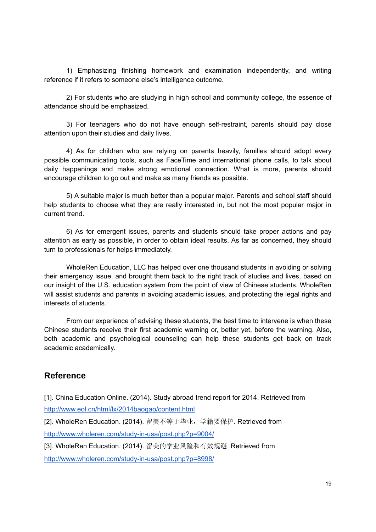1) Emphasizing finishing homework and examination independently, and writing reference if it refers to someone else's intelligence outcome.

2) For students who are studying in high school and community college, the essence of attendance should be emphasized.

3) For teenagers who do not have enough self-restraint, parents should pay close attention upon their studies and daily lives.

4) As for children who are relying on parents heavily, families should adopt every possible communicating tools, such as FaceTime and international phone calls, to talk about daily happenings and make strong emotional connection. What is more, parents should encourage children to go out and make as many friends as possible.

5) A suitable major is much better than a popular major. Parents and school staff should help students to choose what they are really interested in, but not the most popular major in current trend.

6) As for emergent issues, parents and students should take proper actions and pay attention as early as possible, in order to obtain ideal results. As far as concerned, they should turn to professionals for helps immediately.

WholeRen Education, LLC has helped over one thousand students in avoiding or solving their emergency issue, and brought them back to the right track of studies and lives, based on our insight of the U.S. education system from the point of view of Chinese students. WholeRen will assist students and parents in avoiding academic issues, and protecting the legal rights and interests of students.

From our experience of advising these students, the best time to intervene is when these Chinese students receive their first academic warning or, better yet, before the warning. Also, both academic and psychological counseling can help these students get back on track academic academically.

# **Reference**

[1]. China Education Online. (2014). Study abroad trend report for 2014. Retrieved from http://www.eol.cn/html/lx/2014baogao/content.html

[2]. WholeRen Education. (2014). 留美不等于毕业,学籍要保护. Retrieved from http://www.wholeren.com/study-in-usa/post.php?p=9004/

[3]. WholeRen Education. (2014). 留美的学业风险和有效规避. Retrieved from

http://www.wholeren.com/study-in-usa/post.php?p=8998/